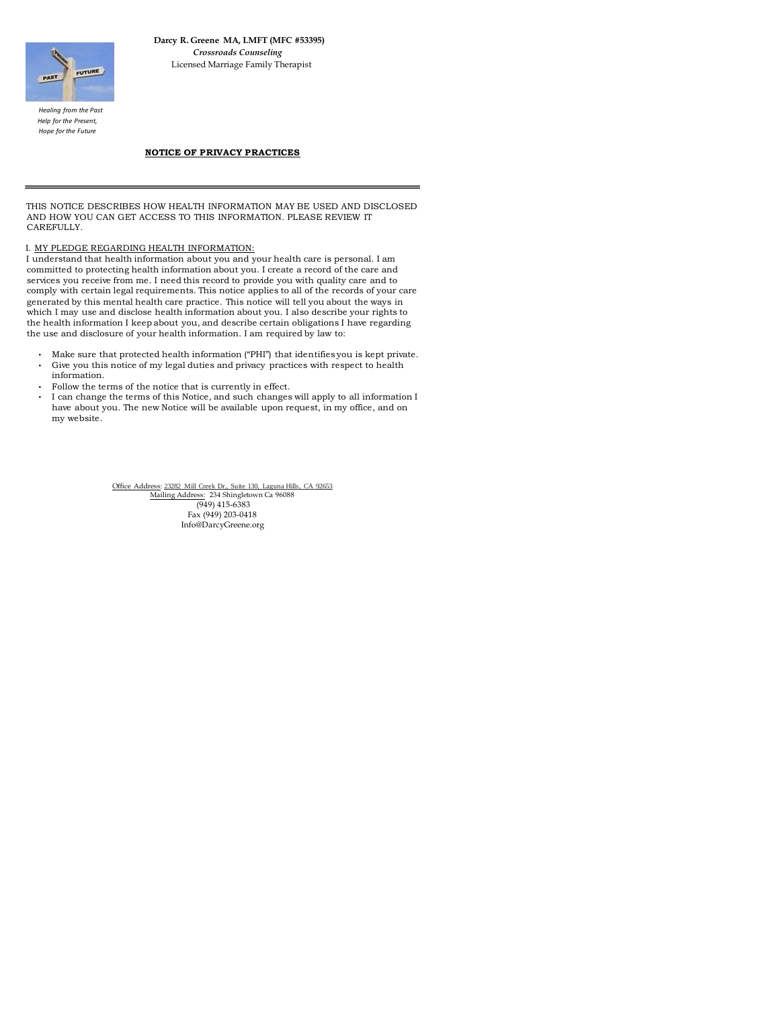Office Address: [23282 Mill Creek Dr., Suite 130,](http://maps.google.com/maps?f=q&source=s_q&hl=en&geocode=&q=23282+Mill+Creek+Drive,+Laguna+Hills,+CA+92653&sll=37.0625,-95.677068&sspn=58.425119,123.925781&ie=UTF8&hq=&hnear=23282+Mill+Creek+Dr,+Laguna+Hills,+Orange,+California+92653&z=17) Laguna Hills, CA 92653 Mailing Address: 234 Shingletown Ca 96088 (949) 415-6383 Fax (949) 203-0418 Info@DarcyGreene.org



 **Darcy R. Greene MA, LMFT (MFC #53395)**   *Crossroads Counseling*  Licensed Marriage Family Therapist

 *Healing from the Past Help for the Present, Hope for the Future*

# **NOTICE OF PRIVACY PRACTICES**

THIS NOTICE DESCRIBES HOW HEALTH INFORMATION MAY BE USED AND DISCLOSED AND HOW YOU CAN GET ACCESS TO THIS INFORMATION. PLEASE REVIEW IT CAREFULLY.

## I. MY PLEDGE REGARDING HEALTH INFORMATION:

I understand that health information about you and your health care is personal. I am committed to protecting health information about you. I create a record of the care and services you receive from me. I need this record to provide you with quality care and to comply with certain legal requirements. This notice applies to all of the records of your care generated by this mental health care practice. This notice will tell you about the ways in which I may use and disclose health information about you. I also describe your rights to the health information I keep about you, and describe certain obligations I have regarding the use and disclosure of your health information. I am required by law to:

- Make sure that protected health information ("PHI") that identifies you is kept private.
- Give you this notice of my legal duties and privacy practices with respect to health information.
- Follow the terms of the notice that is currently in effect.
- I can change the terms of this Notice, and such changes will apply to all information I have about you. The new Notice will be available upon request, in my office, and on my website.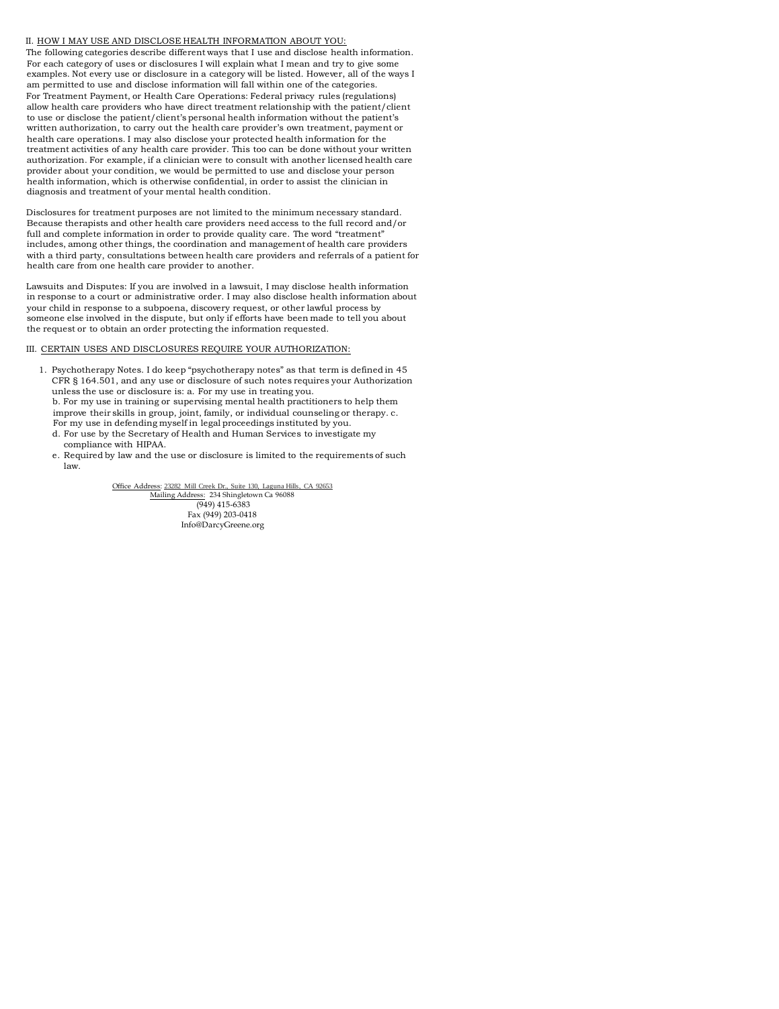Office Address: [23282 Mill Creek Dr., Suite 130,](http://maps.google.com/maps?f=q&source=s_q&hl=en&geocode=&q=23282+Mill+Creek+Drive,+Laguna+Hills,+CA+92653&sll=37.0625,-95.677068&sspn=58.425119,123.925781&ie=UTF8&hq=&hnear=23282+Mill+Creek+Dr,+Laguna+Hills,+Orange,+California+92653&z=17) Laguna Hills, CA 92653 Mailing Address: 234 Shingletown Ca 96088 (949) 415-6383 Fax (949) 203-0418 Info@DarcyGreene.org

#### II. HOW I MAY USE AND DISCLOSE HEALTH INFORMATION ABOUT YOU:

The following categories describe different ways that I use and disclose health information. For each category of uses or disclosures I will explain what I mean and try to give some examples. Not every use or disclosure in a category will be listed. However, all of the ways I am permitted to use and disclose information will fall within one of the categories. For Treatment Payment, or Health Care Operations: Federal privacy rules (regulations) allow health care providers who have direct treatment relationship with the patient/client to use or disclose the patient/client's personal health information without the patient's written authorization, to carry out the health care provider's own treatment, payment or health care operations. I may also disclose your protected health information for the treatment activities of any health care provider. This too can be done without your written authorization. For example, if a clinician were to consult with another licensed health care provider about your condition, we would be permitted to use and disclose your person health information, which is otherwise confidential, in order to assist the clinician in diagnosis and treatment of your mental health condition.

Disclosures for treatment purposes are not limited to the minimum necessary standard. Because therapists and other health care providers need access to the full record and/or full and complete information in order to provide quality care. The word "treatment" includes, among other things, the coordination and management of health care providers with a third party, consultations between health care providers and referrals of a patient for health care from one health care provider to another.

Lawsuits and Disputes: If you are involved in a lawsuit, I may disclose health information in response to a court or administrative order. I may also disclose health information about your child in response to a subpoena, discovery request, or other lawful process by someone else involved in the dispute, but only if efforts have been made to tell you about the request or to obtain an order protecting the information requested.

## III. CERTAIN USES AND DISCLOSURES REQUIRE YOUR AUTHORIZATION:

- 1. Psychotherapy Notes. I do keep "psychotherapy notes" as that term is defined in 45 CFR § 164.501, and any use or disclosure of such notes requires your Authorization unless the use or disclosure is: a. For my use in treating you. b. For my use in training or supervising mental health practitioners to help them improve their skills in group, joint, family, or individual counseling or therapy. c. For my use in defending myself in legal proceedings instituted by you.
	- d. For use by the Secretary of Health and Human Services to investigate my compliance with HIPAA.
	- e. Required by law and the use or disclosure is limited to the requirements of such law.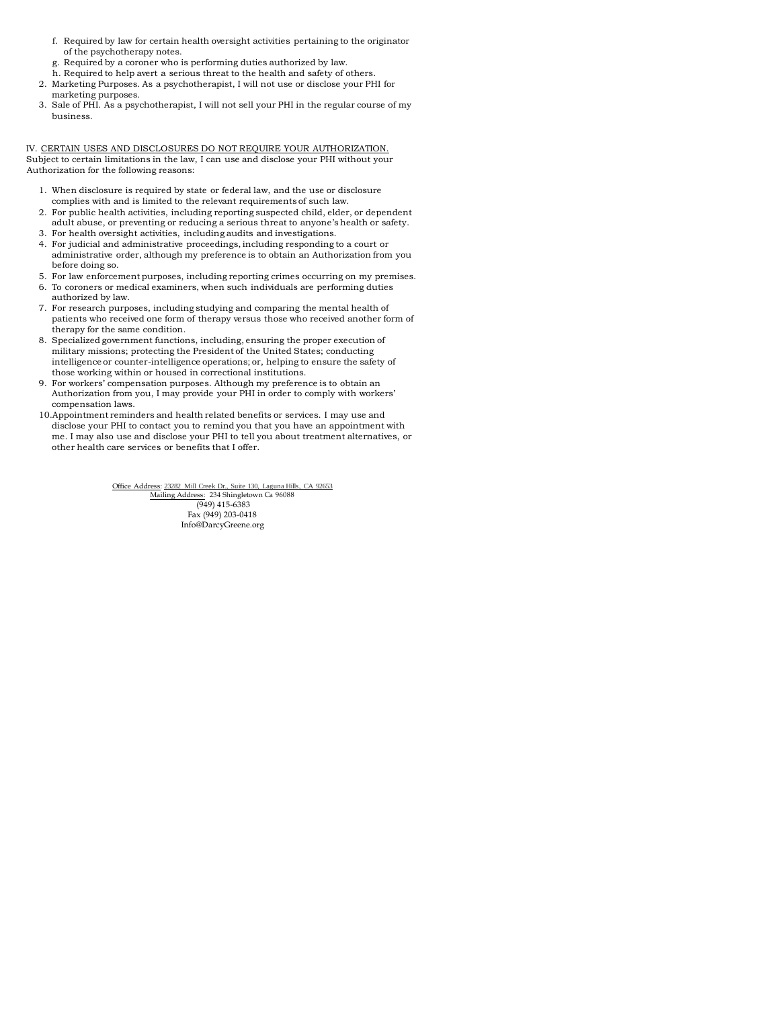Office Address: [23282 Mill Creek Dr., Suite 130,](http://maps.google.com/maps?f=q&source=s_q&hl=en&geocode=&q=23282+Mill+Creek+Drive,+Laguna+Hills,+CA+92653&sll=37.0625,-95.677068&sspn=58.425119,123.925781&ie=UTF8&hq=&hnear=23282+Mill+Creek+Dr,+Laguna+Hills,+Orange,+California+92653&z=17) Laguna Hills, CA 92653 Mailing Address: 234 Shingletown Ca 96088 (949) 415-6383 Fax (949) 203-0418 Info@DarcyGreene.org

- f. Required by law for certain health oversight activities pertaining to the originator of the psychotherapy notes.
- g. Required by a coroner who is performing duties authorized by law.
- h. Required to help avert a serious threat to the health and safety of others.
- 2. Marketing Purposes. As a psychotherapist, I will not use or disclose your PHI for marketing purposes.
- 3. Sale of PHI. As a psychotherapist, I will not sell your PHI in the regular course of my business.

IV. CERTAIN USES AND DISCLOSURES DO NOT REQUIRE YOUR AUTHORIZATION. Subject to certain limitations in the law, I can use and disclose your PHI without your Authorization for the following reasons:

- 1. When disclosure is required by state or federal law, and the use or disclosure complies with and is limited to the relevant requirements of such law.
- 2. For public health activities, including reporting suspected child, elder, or dependent adult abuse, or preventing or reducing a serious threat to anyone's health or safety.
- 3. For health oversight activities, including audits and investigations.
- 4. For judicial and administrative proceedings, including responding to a court or administrative order, although my preference is to obtain an Authorization from you before doing so.
- 5. For law enforcement purposes, including reporting crimes occurring on my premises.
- 6. To coroners or medical examiners, when such individuals are performing duties authorized by law.
- 7. For research purposes, including studying and comparing the mental health of patients who received one form of therapy versus those who received another form of therapy for the same condition.
- 8. Specialized government functions, including, ensuring the proper execution of military missions; protecting the President of the United States; conducting intelligence or counter-intelligence operations; or, helping to ensure the safety of those working within or housed in correctional institutions.
- 9. For workers' compensation purposes. Although my preference is to obtain an Authorization from you, I may provide your PHI in order to comply with workers' compensation laws.
- 10.Appointment reminders and health related benefits or services. I may use and disclose your PHI to contact you to remind you that you have an appointment with me. I may also use and disclose your PHI to tell you about treatment alternatives, or other health care services or benefits that I offer.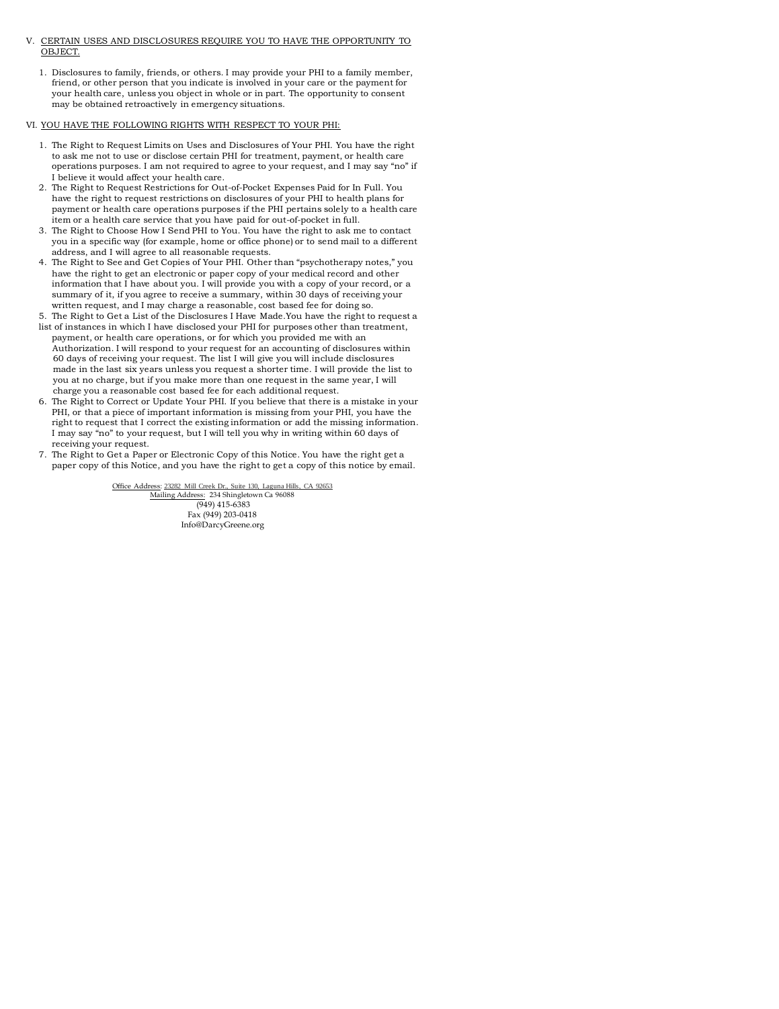Office Address: [23282 Mill Creek Dr., Suite 130,](http://maps.google.com/maps?f=q&source=s_q&hl=en&geocode=&q=23282+Mill+Creek+Drive,+Laguna+Hills,+CA+92653&sll=37.0625,-95.677068&sspn=58.425119,123.925781&ie=UTF8&hq=&hnear=23282+Mill+Creek+Dr,+Laguna+Hills,+Orange,+California+92653&z=17) Laguna Hills, CA 92653 Mailing Address: 234 Shingletown Ca 96088 (949) 415-6383 Fax (949) 203-0418 Info@DarcyGreene.org

- V. CERTAIN USES AND DISCLOSURES REQUIRE YOU TO HAVE THE OPPORTUNITY TO OBJECT.
	- 1. Disclosures to family, friends, or others. I may provide your PHI to a family member, friend, or other person that you indicate is involved in your care or the payment for your health care, unless you object in whole or in part. The opportunity to consent may be obtained retroactively in emergency situations.

### VI. YOU HAVE THE FOLLOWING RIGHTS WITH RESPECT TO YOUR PHI:

- 1. The Right to Request Limits on Uses and Disclosures of Your PHI. You have the right to ask me not to use or disclose certain PHI for treatment, payment, or health care operations purposes. I am not required to agree to your request, and I may say "no" if I believe it would affect your health care.
- 2. The Right to Request Restrictions for Out-of-Pocket Expenses Paid for In Full. You have the right to request restrictions on disclosures of your PHI to health plans for payment or health care operations purposes if the PHI pertains solely to a health care item or a health care service that you have paid for out-of-pocket in full.
- 3. The Right to Choose How I Send PHI to You. You have the right to ask me to contact you in a specific way (for example, home or office phone) or to send mail to a different address, and I will agree to all reasonable requests.
- 4. The Right to See and Get Copies of Your PHI. Other than "psychotherapy notes," you have the right to get an electronic or paper copy of your medical record and other information that I have about you. I will provide you with a copy of your record, or a summary of it, if you agree to receive a summary, within 30 days of receiving your written request, and I may charge a reasonable, cost based fee for doing so.
- 5. The Right to Get a List of the Disclosures I Have Made.You have the right to request a
- list of instances in which I have disclosed your PHI for purposes other than treatment, payment, or health care operations, or for which you provided me with an Authorization. I will respond to your request for an accounting of disclosures within 60 days of receiving your request. The list I will give you will include disclosures made in the last six years unless you request a shorter time. I will provide the list to you at no charge, but if you make more than one request in the same year, I will charge you a reasonable cost based fee for each additional request.
- 6. The Right to Correct or Update Your PHI. If you believe that there is a mistake in your PHI, or that a piece of important information is missing from your PHI, you have the right to request that I correct the existing information or add the missing information. I may say "no" to your request, but I will tell you why in writing within 60 days of receiving your request.
- 7. The Right to Get a Paper or Electronic Copy of this Notice. You have the right get a paper copy of this Notice, and you have the right to get a copy of this notice by email.